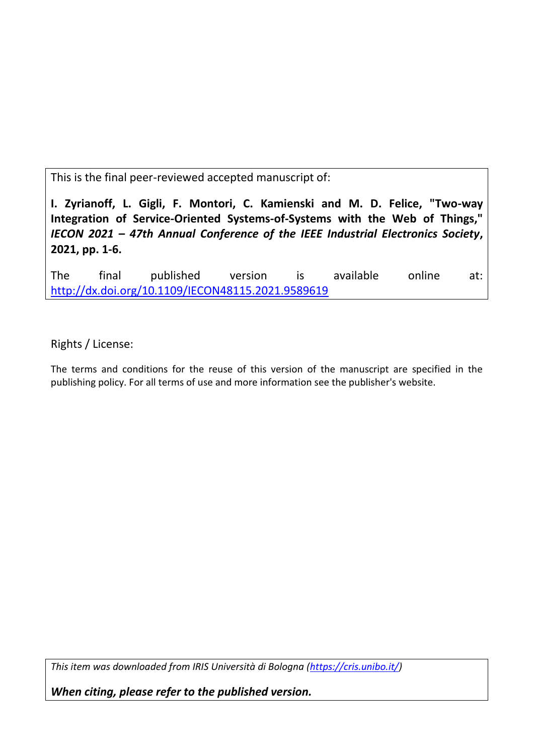This is the final peer-reviewed accepted manuscript of:

**I. Zyrianoff, L. Gigli, F. Montori, C. Kamienski and M. D. Felice, "Two-way Integration of Service-Oriented Systems-of-Systems with the Web of Things,"**  *IECON 2021 – 47th Annual Conference of the IEEE Industrial Electronics Society***, 2021, pp. 1-6.** 

The final published version is available online at: <http://dx.doi.org/10.1109/IECON48115.2021.9589619>

Rights / License:

The terms and conditions for the reuse of this version of the manuscript are specified in the publishing policy. For all terms of use and more information see the publisher's website.

*This item was downloaded from IRIS Università di Bologna [\(https://cris.unibo.it/\)](https://cris.unibo.it/)*

*When citing, please refer to the published version.*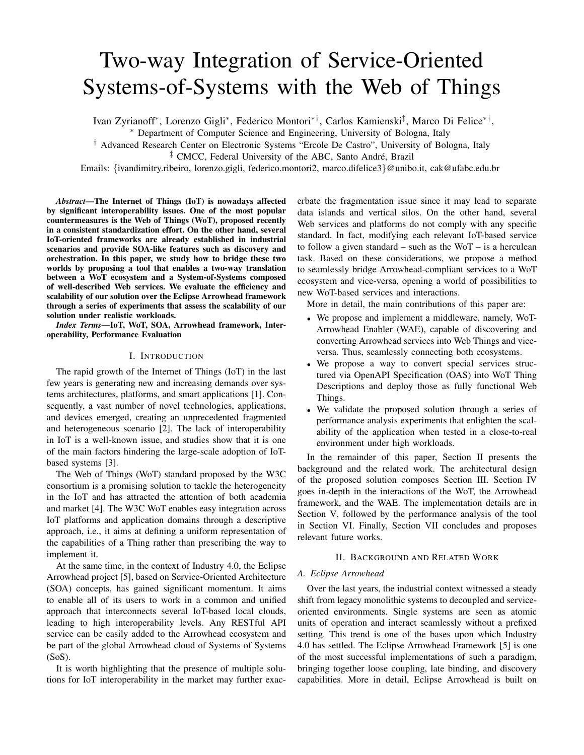# Two-way Integration of Service-Oriented Systems-of-Systems with the Web of Things

Ivan Zyrianoff\*, Lorenzo Gigli\*, Federico Montori\*<sup>†</sup>, Carlos Kamienski<sup>‡</sup>, Marco Di Felice\*<sup>†</sup>,

<sup>∗</sup> Department of Computer Science and Engineering, University of Bologna, Italy

† Advanced Research Center on Electronic Systems "Ercole De Castro", University of Bologna, Italy

<sup>‡</sup> CMCC, Federal University of the ABC, Santo André, Brazil

Emails: {ivandimitry.ribeiro, lorenzo.gigli, federico.montori2, marco.difelice3}@unibo.it, cak@ufabc.edu.br

*Abstract*—The Internet of Things (IoT) is nowadays affected by significant interoperability issues. One of the most popular countermeasures is the Web of Things (WoT), proposed recently in a consistent standardization effort. On the other hand, several IoT-oriented frameworks are already established in industrial scenarios and provide SOA-like features such as discovery and orchestration. In this paper, we study how to bridge these two worlds by proposing a tool that enables a two-way translation between a WoT ecosystem and a System-of-Systems composed of well-described Web services. We evaluate the efficiency and scalability of our solution over the Eclipse Arrowhead framework through a series of experiments that assess the scalability of our solution under realistic workloads.

*Index Terms*—IoT, WoT, SOA, Arrowhead framework, Interoperability, Performance Evaluation

## I. INTRODUCTION

The rapid growth of the Internet of Things (IoT) in the last few years is generating new and increasing demands over systems architectures, platforms, and smart applications [1]. Consequently, a vast number of novel technologies, applications, and devices emerged, creating an unprecedented fragmented and heterogeneous scenario [2]. The lack of interoperability in IoT is a well-known issue, and studies show that it is one of the main factors hindering the large-scale adoption of IoTbased systems [3].

The Web of Things (WoT) standard proposed by the W3C consortium is a promising solution to tackle the heterogeneity in the IoT and has attracted the attention of both academia and market [4]. The W3C WoT enables easy integration across IoT platforms and application domains through a descriptive approach, i.e., it aims at defining a uniform representation of the capabilities of a Thing rather than prescribing the way to implement it.

At the same time, in the context of Industry 4.0, the Eclipse Arrowhead project [5], based on Service-Oriented Architecture (SOA) concepts, has gained significant momentum. It aims to enable all of its users to work in a common and unified approach that interconnects several IoT-based local clouds, leading to high interoperability levels. Any RESTful API service can be easily added to the Arrowhead ecosystem and be part of the global Arrowhead cloud of Systems of Systems  $(SoS).$ 

It is worth highlighting that the presence of multiple solutions for IoT interoperability in the market may further exacerbate the fragmentation issue since it may lead to separate data islands and vertical silos. On the other hand, several Web services and platforms do not comply with any specific standard. In fact, modifying each relevant IoT-based service to follow a given standard – such as the  $WoT - is a herculean$ task. Based on these considerations, we propose a method to seamlessly bridge Arrowhead-compliant services to a WoT ecosystem and vice-versa, opening a world of possibilities to new WoT-based services and interactions.

More in detail, the main contributions of this paper are:

- We propose and implement a middleware, namely, WoT-Arrowhead Enabler (WAE), capable of discovering and converting Arrowhead services into Web Things and viceversa. Thus, seamlessly connecting both ecosystems.
- We propose a way to convert special services structured via OpenAPI Specification (OAS) into WoT Thing Descriptions and deploy those as fully functional Web Things.
- We validate the proposed solution through a series of performance analysis experiments that enlighten the scalability of the application when tested in a close-to-real environment under high workloads.

In the remainder of this paper, Section II presents the background and the related work. The architectural design of the proposed solution composes Section III. Section IV goes in-depth in the interactions of the WoT, the Arrowhead framework, and the WAE. The implementation details are in Section V, followed by the performance analysis of the tool in Section VI. Finally, Section VII concludes and proposes relevant future works.

## II. BACKGROUND AND RELATED WORK

#### *A. Eclipse Arrowhead*

Over the last years, the industrial context witnessed a steady shift from legacy monolithic systems to decoupled and serviceoriented environments. Single systems are seen as atomic units of operation and interact seamlessly without a prefixed setting. This trend is one of the bases upon which Industry 4.0 has settled. The Eclipse Arrowhead Framework [5] is one of the most successful implementations of such a paradigm, bringing together loose coupling, late binding, and discovery capabilities. More in detail, Eclipse Arrowhead is built on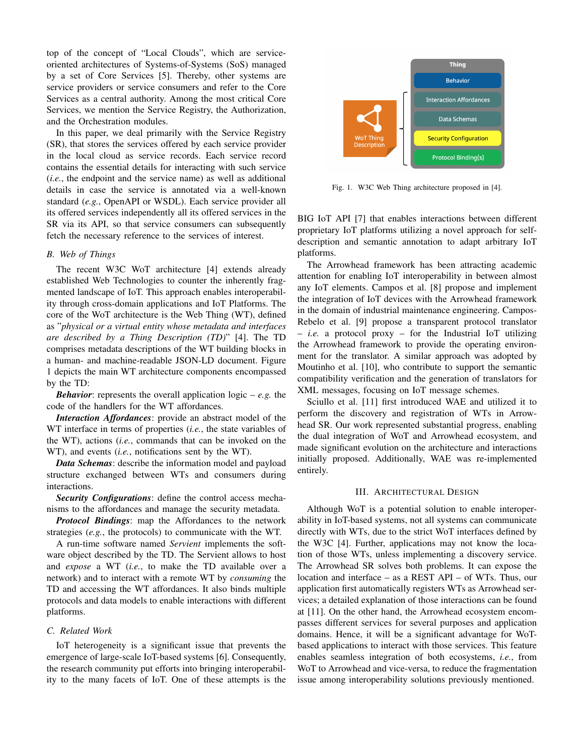top of the concept of "Local Clouds", which are serviceoriented architectures of Systems-of-Systems (SoS) managed by a set of Core Services [5]. Thereby, other systems are service providers or service consumers and refer to the Core Services as a central authority. Among the most critical Core Services, we mention the Service Registry, the Authorization, and the Orchestration modules.

In this paper, we deal primarily with the Service Registry (SR), that stores the services offered by each service provider in the local cloud as service records. Each service record contains the essential details for interacting with such service (*i.e.*, the endpoint and the service name) as well as additional details in case the service is annotated via a well-known standard (*e.g.*, OpenAPI or WSDL). Each service provider all its offered services independently all its offered services in the SR via its API, so that service consumers can subsequently fetch the necessary reference to the services of interest.

# *B. Web of Things*

The recent W3C WoT architecture [4] extends already established Web Technologies to counter the inherently fragmented landscape of IoT. This approach enables interoperability through cross-domain applications and IoT Platforms. The core of the WoT architecture is the Web Thing (WT), defined as "*physical or a virtual entity whose metadata and interfaces are described by a Thing Description (TD)*" [4]. The TD comprises metadata descriptions of the WT building blocks in a human- and machine-readable JSON-LD document. Figure 1 depicts the main WT architecture components encompassed by the TD:

*Behavior*: represents the overall application logic – *e.g.* the code of the handlers for the WT affordances.

*Interaction Affordances*: provide an abstract model of the WT interface in terms of properties (*i.e.*, the state variables of the WT), actions (*i.e.*, commands that can be invoked on the WT), and events (*i.e.*, notifications sent by the WT).

*Data Schemas*: describe the information model and payload structure exchanged between WTs and consumers during interactions.

*Security Configurations*: define the control access mechanisms to the affordances and manage the security metadata.

*Protocol Bindings*: map the Affordances to the network strategies (*e.g.*, the protocols) to communicate with the WT.

A run-time software named *Servient* implements the software object described by the TD. The Servient allows to host and *expose* a WT (*i.e.*, to make the TD available over a network) and to interact with a remote WT by *consuming* the TD and accessing the WT affordances. It also binds multiple protocols and data models to enable interactions with different platforms.

## *C. Related Work*

IoT heterogeneity is a significant issue that prevents the emergence of large-scale IoT-based systems [6]. Consequently, the research community put efforts into bringing interoperability to the many facets of IoT. One of these attempts is the



Fig. 1. W3C Web Thing architecture proposed in [4].

BIG IoT API [7] that enables interactions between different proprietary IoT platforms utilizing a novel approach for selfdescription and semantic annotation to adapt arbitrary IoT platforms.

The Arrowhead framework has been attracting academic attention for enabling IoT interoperability in between almost any IoT elements. Campos et al. [8] propose and implement the integration of IoT devices with the Arrowhead framework in the domain of industrial maintenance engineering. Campos-Rebelo et al. [9] propose a transparent protocol translator – *i.e.* a protocol proxy – for the Industrial IoT utilizing the Arrowhead framework to provide the operating environment for the translator. A similar approach was adopted by Moutinho et al. [10], who contribute to support the semantic compatibility verification and the generation of translators for XML messages, focusing on IoT message schemes.

Sciullo et al. [11] first introduced WAE and utilized it to perform the discovery and registration of WTs in Arrowhead SR. Our work represented substantial progress, enabling the dual integration of WoT and Arrowhead ecosystem, and made significant evolution on the architecture and interactions initially proposed. Additionally, WAE was re-implemented entirely.

## III. ARCHITECTURAL DESIGN

Although WoT is a potential solution to enable interoperability in IoT-based systems, not all systems can communicate directly with WTs, due to the strict WoT interfaces defined by the W3C [4]. Further, applications may not know the location of those WTs, unless implementing a discovery service. The Arrowhead SR solves both problems. It can expose the location and interface – as a REST API – of WTs. Thus, our application first automatically registers WTs as Arrowhead services; a detailed explanation of those interactions can be found at [11]. On the other hand, the Arrowhead ecosystem encompasses different services for several purposes and application domains. Hence, it will be a significant advantage for WoTbased applications to interact with those services. This feature enables seamless integration of both ecosystems, *i.e.*, from WoT to Arrowhead and vice-versa, to reduce the fragmentation issue among interoperability solutions previously mentioned.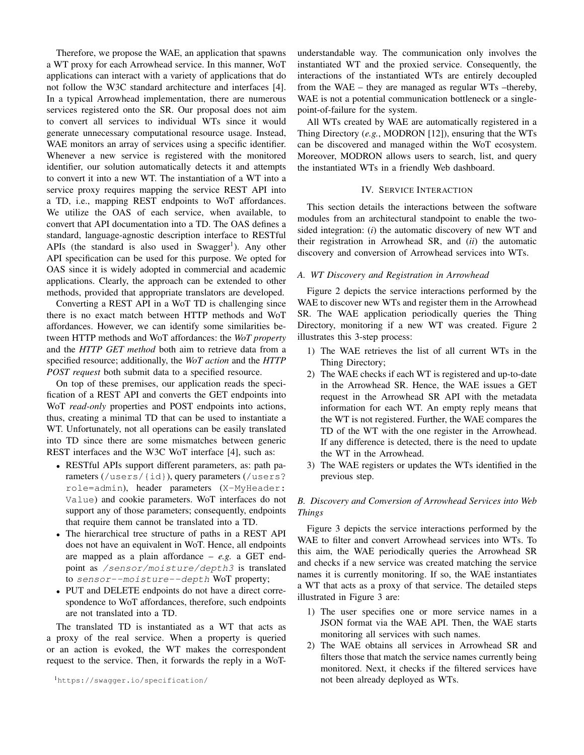Therefore, we propose the WAE, an application that spawns a WT proxy for each Arrowhead service. In this manner, WoT applications can interact with a variety of applications that do not follow the W3C standard architecture and interfaces [4]. In a typical Arrowhead implementation, there are numerous services registered onto the SR. Our proposal does not aim to convert all services to individual WTs since it would generate unnecessary computational resource usage. Instead, WAE monitors an array of services using a specific identifier. Whenever a new service is registered with the monitored identifier, our solution automatically detects it and attempts to convert it into a new WT. The instantiation of a WT into a service proxy requires mapping the service REST API into a TD, i.e., mapping REST endpoints to WoT affordances. We utilize the OAS of each service, when available, to convert that API documentation into a TD. The OAS defines a standard, language-agnostic description interface to RESTful APIs (the standard is also used in Swagger<sup>1</sup>). Any other API specification can be used for this purpose. We opted for OAS since it is widely adopted in commercial and academic applications. Clearly, the approach can be extended to other methods, provided that appropriate translators are developed.

Converting a REST API in a WoT TD is challenging since there is no exact match between HTTP methods and WoT affordances. However, we can identify some similarities between HTTP methods and WoT affordances: the *WoT property* and the *HTTP GET method* both aim to retrieve data from a specified resource; additionally, the *WoT action* and the *HTTP POST request* both submit data to a specified resource.

On top of these premises, our application reads the specification of a REST API and converts the GET endpoints into WoT *read-only* properties and POST endpoints into actions, thus, creating a minimal TD that can be used to instantiate a WT. Unfortunately, not all operations can be easily translated into TD since there are some mismatches between generic REST interfaces and the W3C WoT interface [4], such as:

- RESTful APIs support different parameters, as: path parameters (/users/{id}), query parameters (/users? role=admin), header parameters (X-MyHeader: Value) and cookie parameters. WoT interfaces do not support any of those parameters; consequently, endpoints that require them cannot be translated into a TD.
- The hierarchical tree structure of paths in a REST API does not have an equivalent in WoT. Hence, all endpoints are mapped as a plain affordance – *e.g.* a GET endpoint as /sensor/moisture/depth3 is translated to sensor--moisture--depth WoT property;
- PUT and DELETE endpoints do not have a direct correspondence to WoT affordances, therefore, such endpoints are not translated into a TD.

The translated TD is instantiated as a WT that acts as a proxy of the real service. When a property is queried or an action is evoked, the WT makes the correspondent request to the service. Then, it forwards the reply in a WoT-

<sup>1</sup>https://swagger.io/specification/

understandable way. The communication only involves the instantiated WT and the proxied service. Consequently, the interactions of the instantiated WTs are entirely decoupled from the WAE – they are managed as regular WTs –thereby, WAE is not a potential communication bottleneck or a singlepoint-of-failure for the system.

All WTs created by WAE are automatically registered in a Thing Directory (*e.g.*, MODRON [12]), ensuring that the WTs can be discovered and managed within the WoT ecosystem. Moreover, MODRON allows users to search, list, and query the instantiated WTs in a friendly Web dashboard.

## IV. SERVICE INTERACTION

This section details the interactions between the software modules from an architectural standpoint to enable the twosided integration: (*i*) the automatic discovery of new WT and their registration in Arrowhead SR, and (*ii*) the automatic discovery and conversion of Arrowhead services into WTs.

# *A. WT Discovery and Registration in Arrowhead*

Figure 2 depicts the service interactions performed by the WAE to discover new WTs and register them in the Arrowhead SR. The WAE application periodically queries the Thing Directory, monitoring if a new WT was created. Figure 2 illustrates this 3-step process:

- 1) The WAE retrieves the list of all current WTs in the Thing Directory;
- 2) The WAE checks if each WT is registered and up-to-date in the Arrowhead SR. Hence, the WAE issues a GET request in the Arrowhead SR API with the metadata information for each WT. An empty reply means that the WT is not registered. Further, the WAE compares the TD of the WT with the one register in the Arrowhead. If any difference is detected, there is the need to update the WT in the Arrowhead.
- 3) The WAE registers or updates the WTs identified in the previous step.

# *B. Discovery and Conversion of Arrowhead Services into Web Things*

Figure 3 depicts the service interactions performed by the WAE to filter and convert Arrowhead services into WTs. To this aim, the WAE periodically queries the Arrowhead SR and checks if a new service was created matching the service names it is currently monitoring. If so, the WAE instantiates a WT that acts as a proxy of that service. The detailed steps illustrated in Figure 3 are:

- 1) The user specifies one or more service names in a JSON format via the WAE API. Then, the WAE starts monitoring all services with such names.
- 2) The WAE obtains all services in Arrowhead SR and filters those that match the service names currently being monitored. Next, it checks if the filtered services have not been already deployed as WTs.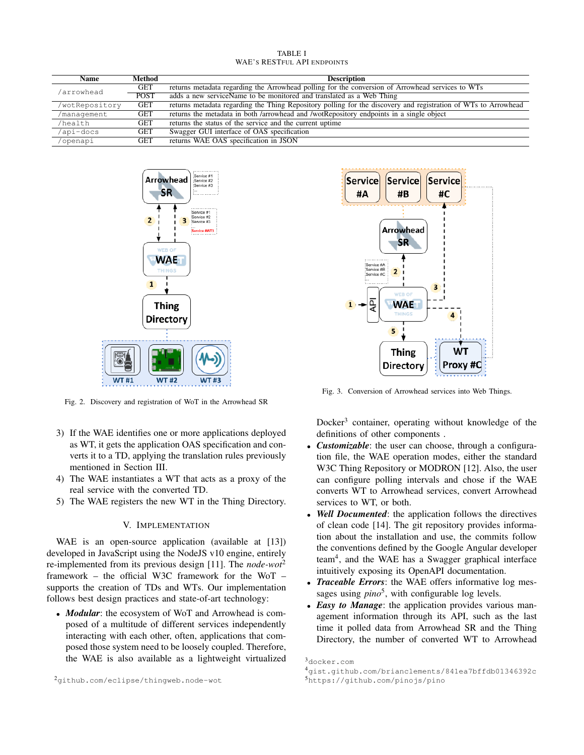| TABLE I                            |  |  |
|------------------------------------|--|--|
| <b>WAE'S RESTFUL API ENDPOINTS</b> |  |  |

| <b>Name</b>    | Method      | <b>Description</b>                                                                                             |
|----------------|-------------|----------------------------------------------------------------------------------------------------------------|
| arrowhead/     | <b>GET</b>  | returns metadata regarding the Arrowhead polling for the conversion of Arrowhead services to WTs               |
|                | <b>POST</b> | adds a new serviceName to be monitored and translated as a Web Thing                                           |
| /wotRepository | <b>GET</b>  | returns metadata regarding the Thing Repository polling for the discovery and registration of WTs to Arrowhead |
| /management    | <b>GET</b>  | returns the metadata in both /arrowhead and /wotRepository endpoints in a single object                        |
| /health        | <b>GET</b>  | returns the status of the service and the current uptime                                                       |
| /api-docs      | <b>GET</b>  | Swagger GUI interface of OAS specification                                                                     |
| /openapi       | <b>GET</b>  | returns WAE OAS specification in JSON                                                                          |



Fig. 2. Discovery and registration of WoT in the Arrowhead SR

- 3) If the WAE identifies one or more applications deployed as WT, it gets the application OAS specification and converts it to a TD, applying the translation rules previously mentioned in Section III.
- 4) The WAE instantiates a WT that acts as a proxy of the real service with the converted TD.
- 5) The WAE registers the new WT in the Thing Directory.

## V. IMPLEMENTATION

WAE is an open-source application (available at [13]) developed in JavaScript using the NodeJS v10 engine, entirely re-implemented from its previous design [11]. The *node-wot*<sup>2</sup> framework – the official W3C framework for the WoT – supports the creation of TDs and WTs. Our implementation follows best design practices and state-of-art technology:

• *Modular*: the ecosystem of WoT and Arrowhead is composed of a multitude of different services independently interacting with each other, often, applications that composed those system need to be loosely coupled. Therefore, the WAE is also available as a lightweight virtualized



Fig. 3. Conversion of Arrowhead services into Web Things.

Docker<sup>3</sup> container, operating without knowledge of the definitions of other components .

- *Customizable:* the user can choose, through a configuration file, the WAE operation modes, either the standard W3C Thing Repository or MODRON [12]. Also, the user can configure polling intervals and chose if the WAE converts WT to Arrowhead services, convert Arrowhead services to WT, or both.
- Well Documented: the application follows the directives of clean code [14]. The git repository provides information about the installation and use, the commits follow the conventions defined by the Google Angular developer team<sup>4</sup>, and the WAE has a Swagger graphical interface intuitively exposing its OpenAPI documentation.
- *Traceable Errors*: the WAE offers informative log messages using *pino*<sup>5</sup>, with configurable log levels.
- *Easy to Manage*: the application provides various management information through its API, such as the last time it polled data from Arrowhead SR and the Thing Directory, the number of converted WT to Arrowhead

<sup>3</sup>docker.com

<sup>4</sup>gist.github.com/brianclements/841ea7bffdb01346392c

<sup>5</sup>https://github.com/pinojs/pino

<sup>2</sup>github.com/eclipse/thingweb.node-wot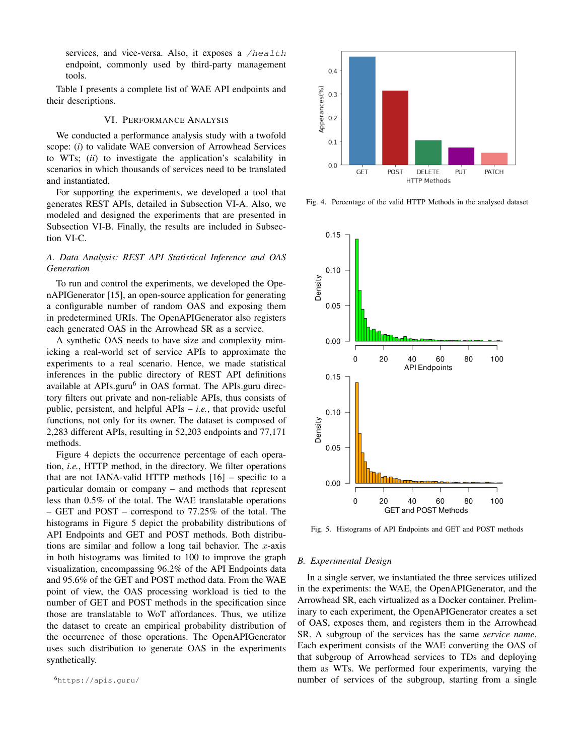services, and vice-versa. Also, it exposes a /health endpoint, commonly used by third-party management tools.

Table I presents a complete list of WAE API endpoints and their descriptions.

# VI. PERFORMANCE ANALYSIS

We conducted a performance analysis study with a twofold scope: (*i*) to validate WAE conversion of Arrowhead Services to WTs; (*ii*) to investigate the application's scalability in scenarios in which thousands of services need to be translated and instantiated.

For supporting the experiments, we developed a tool that generates REST APIs, detailed in Subsection VI-A. Also, we modeled and designed the experiments that are presented in Subsection VI-B. Finally, the results are included in Subsection VI-C.

# *A. Data Analysis: REST API Statistical Inference and OAS Generation*

To run and control the experiments, we developed the OpenAPIGenerator [15], an open-source application for generating a configurable number of random OAS and exposing them in predetermined URIs. The OpenAPIGenerator also registers each generated OAS in the Arrowhead SR as a service.

A synthetic OAS needs to have size and complexity mimicking a real-world set of service APIs to approximate the experiments to a real scenario. Hence, we made statistical inferences in the public directory of REST API definitions available at APIs.guru<sup>6</sup> in OAS format. The APIs.guru directory filters out private and non-reliable APIs, thus consists of public, persistent, and helpful APIs – *i.e.*, that provide useful functions, not only for its owner. The dataset is composed of 2,283 different APIs, resulting in 52,203 endpoints and 77,171 methods.

Figure 4 depicts the occurrence percentage of each operation, *i.e.*, HTTP method, in the directory. We filter operations that are not IANA-valid HTTP methods  $[16]$  – specific to a particular domain or company – and methods that represent less than 0.5% of the total. The WAE translatable operations – GET and POST – correspond to 77.25% of the total. The histograms in Figure 5 depict the probability distributions of API Endpoints and GET and POST methods. Both distributions are similar and follow a long tail behavior. The  $x$ -axis in both histograms was limited to 100 to improve the graph visualization, encompassing 96.2% of the API Endpoints data and 95.6% of the GET and POST method data. From the WAE point of view, the OAS processing workload is tied to the number of GET and POST methods in the specification since those are translatable to WoT affordances. Thus, we utilize the dataset to create an empirical probability distribution of the occurrence of those operations. The OpenAPIGenerator uses such distribution to generate OAS in the experiments synthetically.



Fig. 4. Percentage of the valid HTTP Methods in the analysed dataset



Fig. 5. Histograms of API Endpoints and GET and POST methods

## *B. Experimental Design*

In a single server, we instantiated the three services utilized in the experiments: the WAE, the OpenAPIGenerator, and the Arrowhead SR, each virtualized as a Docker container. Preliminary to each experiment, the OpenAPIGenerator creates a set of OAS, exposes them, and registers them in the Arrowhead SR. A subgroup of the services has the same *service name*. Each experiment consists of the WAE converting the OAS of that subgroup of Arrowhead services to TDs and deploying them as WTs. We performed four experiments, varying the number of services of the subgroup, starting from a single